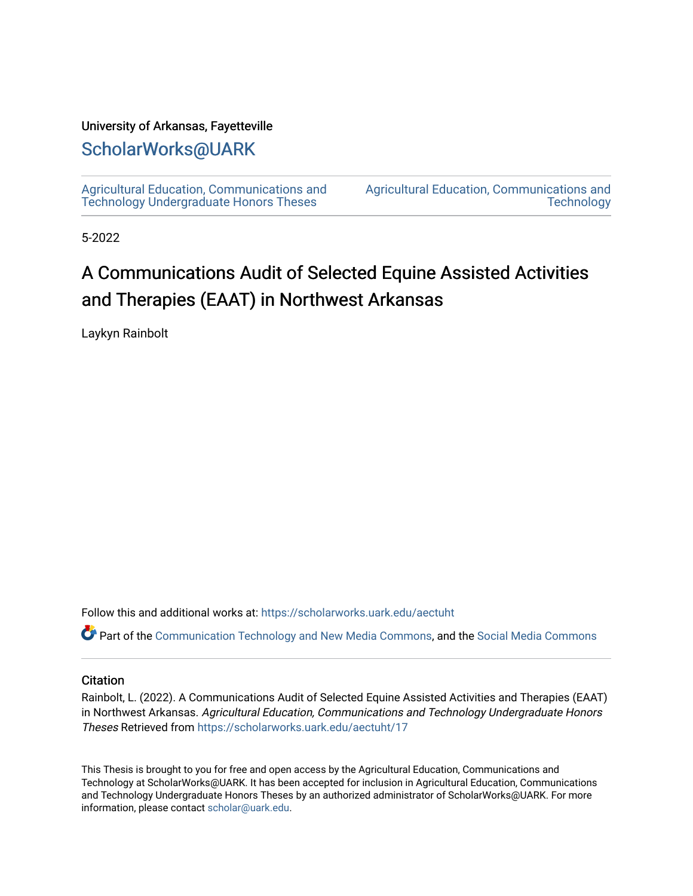### University of Arkansas, Fayetteville

## [ScholarWorks@UARK](https://scholarworks.uark.edu/)

[Agricultural Education, Communications and](https://scholarworks.uark.edu/aectuht)  [Technology Undergraduate Honors Theses](https://scholarworks.uark.edu/aectuht)

[Agricultural Education, Communications and](https://scholarworks.uark.edu/aect)  **Technology** 

5-2022

# A Communications Audit of Selected Equine Assisted Activities and Therapies (EAAT) in Northwest Arkansas

Laykyn Rainbolt

Follow this and additional works at: [https://scholarworks.uark.edu/aectuht](https://scholarworks.uark.edu/aectuht?utm_source=scholarworks.uark.edu%2Faectuht%2F17&utm_medium=PDF&utm_campaign=PDFCoverPages) 

Part of the [Communication Technology and New Media Commons,](http://network.bepress.com/hgg/discipline/327?utm_source=scholarworks.uark.edu%2Faectuht%2F17&utm_medium=PDF&utm_campaign=PDFCoverPages) and the Social Media Commons

#### **Citation**

Rainbolt, L. (2022). A Communications Audit of Selected Equine Assisted Activities and Therapies (EAAT) in Northwest Arkansas. Agricultural Education, Communications and Technology Undergraduate Honors Theses Retrieved from [https://scholarworks.uark.edu/aectuht/17](https://scholarworks.uark.edu/aectuht/17?utm_source=scholarworks.uark.edu%2Faectuht%2F17&utm_medium=PDF&utm_campaign=PDFCoverPages) 

This Thesis is brought to you for free and open access by the Agricultural Education, Communications and Technology at ScholarWorks@UARK. It has been accepted for inclusion in Agricultural Education, Communications and Technology Undergraduate Honors Theses by an authorized administrator of ScholarWorks@UARK. For more information, please contact [scholar@uark.edu.](mailto:scholar@uark.edu)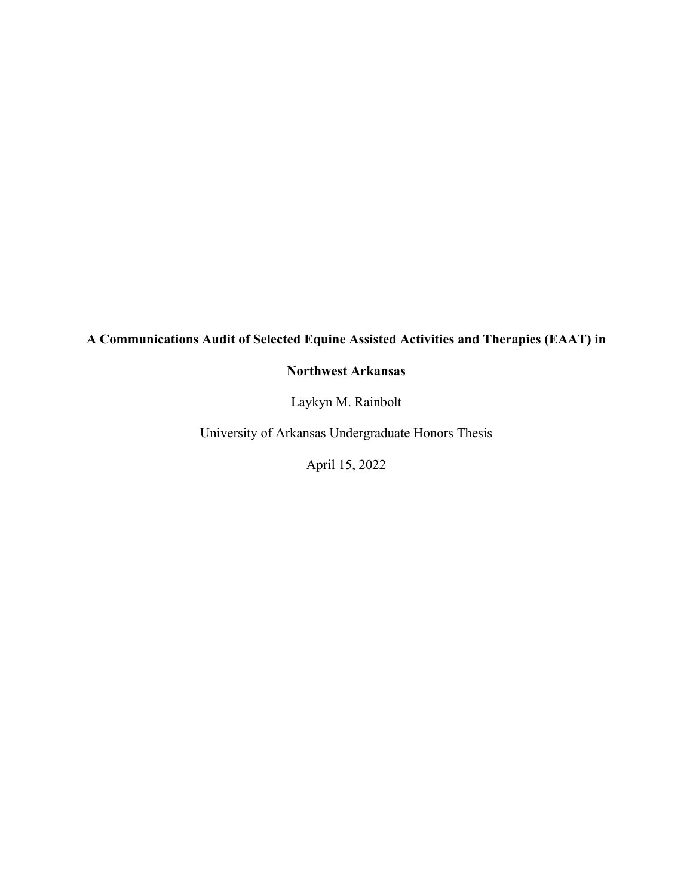## **A Communications Audit of Selected Equine Assisted Activities and Therapies (EAAT) in**

## **Northwest Arkansas**

Laykyn M. Rainbolt

University of Arkansas Undergraduate Honors Thesis

April 15, 2022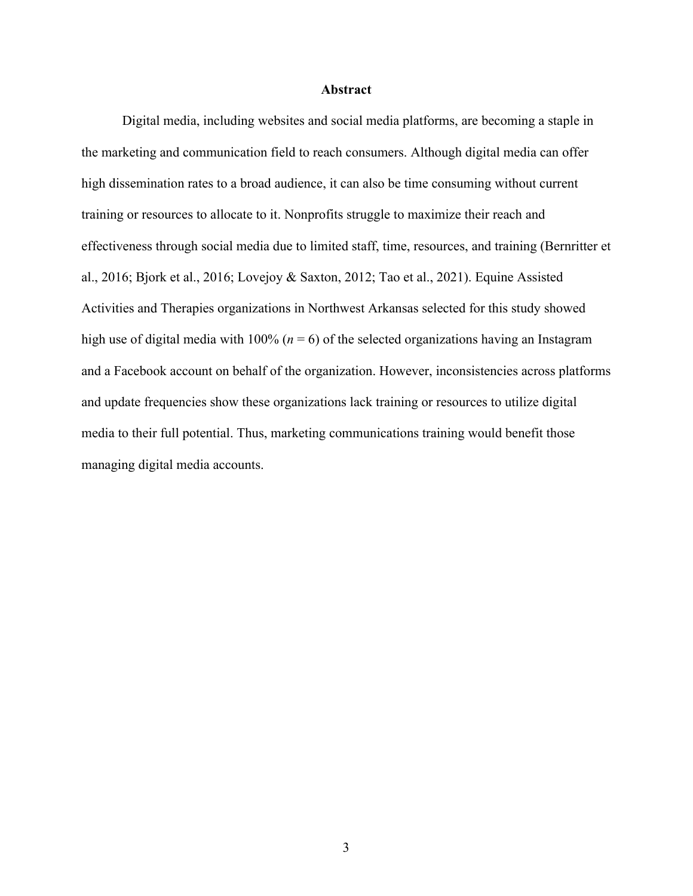#### **Abstract**

Digital media, including websites and social media platforms, are becoming a staple in the marketing and communication field to reach consumers. Although digital media can offer high dissemination rates to a broad audience, it can also be time consuming without current training or resources to allocate to it. Nonprofits struggle to maximize their reach and effectiveness through social media due to limited staff, time, resources, and training (Bernritter et al., 2016; Bjork et al., 2016; Lovejoy & Saxton, 2012; Tao et al., 2021). Equine Assisted Activities and Therapies organizations in Northwest Arkansas selected for this study showed high use of digital media with 100% ( $n = 6$ ) of the selected organizations having an Instagram and a Facebook account on behalf of the organization. However, inconsistencies across platforms and update frequencies show these organizations lack training or resources to utilize digital media to their full potential. Thus, marketing communications training would benefit those managing digital media accounts.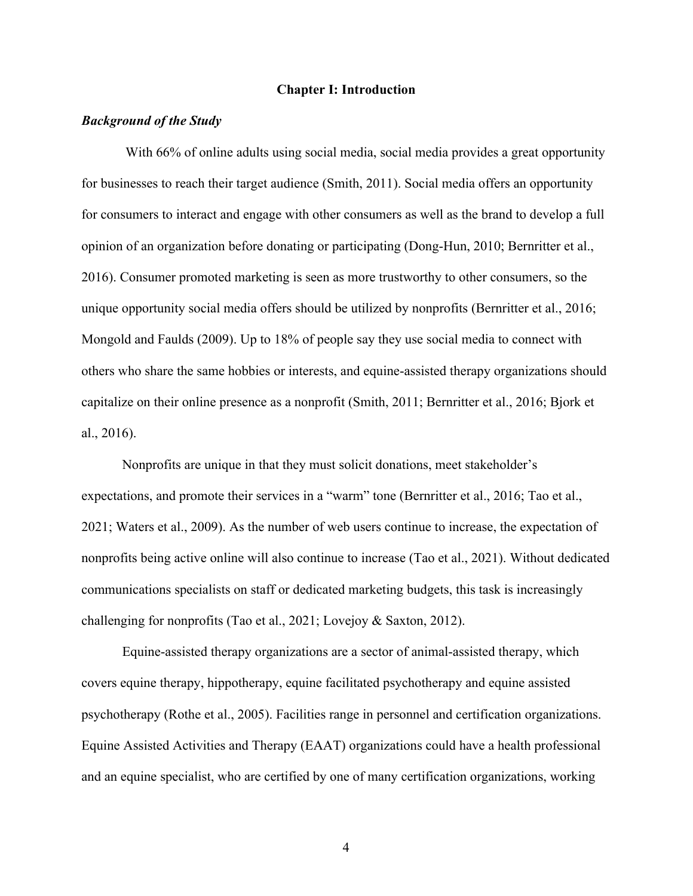#### **Chapter I: Introduction**

#### *Background of the Study*

With 66% of online adults using social media, social media provides a great opportunity for businesses to reach their target audience (Smith, 2011). Social media offers an opportunity for consumers to interact and engage with other consumers as well as the brand to develop a full opinion of an organization before donating or participating (Dong-Hun, 2010; Bernritter et al., 2016). Consumer promoted marketing is seen as more trustworthy to other consumers, so the unique opportunity social media offers should be utilized by nonprofits (Bernritter et al., 2016; Mongold and Faulds (2009). Up to 18% of people say they use social media to connect with others who share the same hobbies or interests, and equine-assisted therapy organizations should capitalize on their online presence as a nonprofit (Smith, 2011; Bernritter et al., 2016; Bjork et al., 2016).

Nonprofits are unique in that they must solicit donations, meet stakeholder's expectations, and promote their services in a "warm" tone (Bernritter et al., 2016; Tao et al., 2021; Waters et al., 2009). As the number of web users continue to increase, the expectation of nonprofits being active online will also continue to increase (Tao et al., 2021). Without dedicated communications specialists on staff or dedicated marketing budgets, this task is increasingly challenging for nonprofits (Tao et al., 2021; Lovejoy & Saxton, 2012).

Equine-assisted therapy organizations are a sector of animal-assisted therapy, which covers equine therapy, hippotherapy, equine facilitated psychotherapy and equine assisted psychotherapy (Rothe et al., 2005). Facilities range in personnel and certification organizations. Equine Assisted Activities and Therapy (EAAT) organizations could have a health professional and an equine specialist, who are certified by one of many certification organizations, working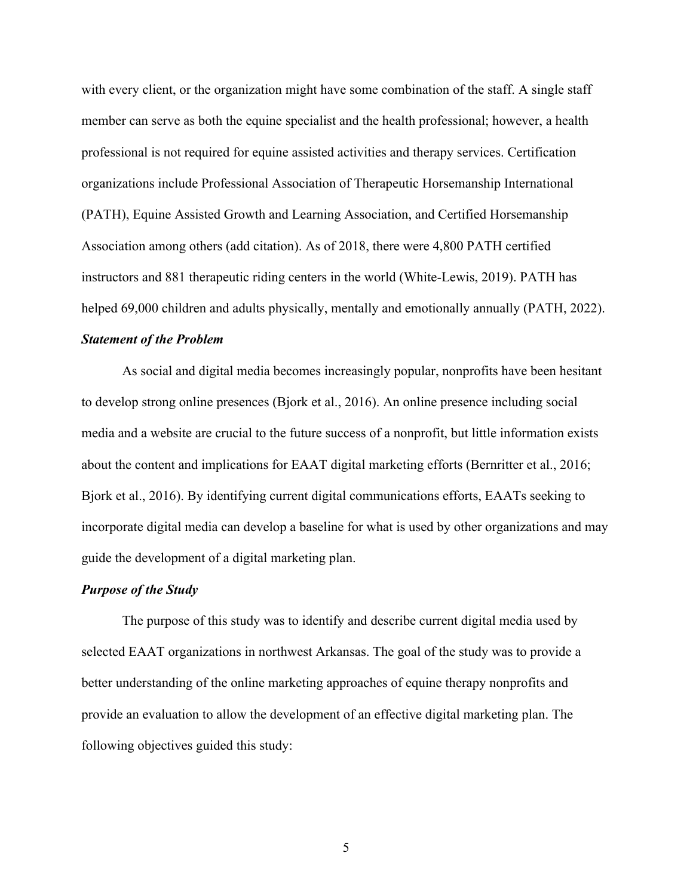with every client, or the organization might have some combination of the staff. A single staff member can serve as both the equine specialist and the health professional; however, a health professional is not required for equine assisted activities and therapy services. Certification organizations include Professional Association of Therapeutic Horsemanship International (PATH), Equine Assisted Growth and Learning Association, and Certified Horsemanship Association among others (add citation). As of 2018, there were 4,800 PATH certified instructors and 881 therapeutic riding centers in the world (White-Lewis, 2019). PATH has helped 69,000 children and adults physically, mentally and emotionally annually (PATH, 2022). *Statement of the Problem*

As social and digital media becomes increasingly popular, nonprofits have been hesitant to develop strong online presences (Bjork et al., 2016). An online presence including social media and a website are crucial to the future success of a nonprofit, but little information exists about the content and implications for EAAT digital marketing efforts (Bernritter et al., 2016; Bjork et al., 2016). By identifying current digital communications efforts, EAATs seeking to incorporate digital media can develop a baseline for what is used by other organizations and may guide the development of a digital marketing plan.

#### *Purpose of the Study*

The purpose of this study was to identify and describe current digital media used by selected EAAT organizations in northwest Arkansas. The goal of the study was to provide a better understanding of the online marketing approaches of equine therapy nonprofits and provide an evaluation to allow the development of an effective digital marketing plan. The following objectives guided this study: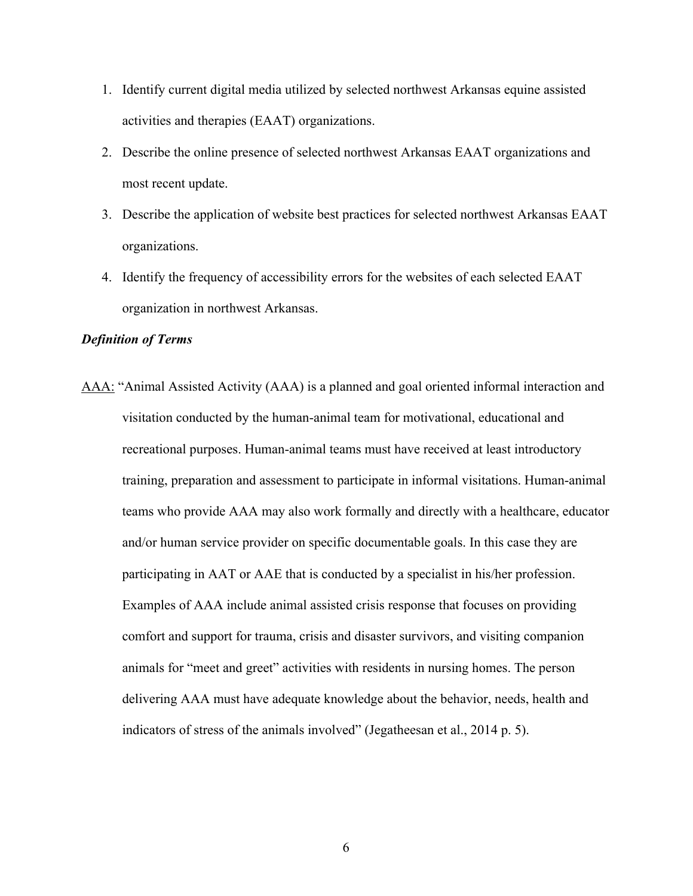- 1. Identify current digital media utilized by selected northwest Arkansas equine assisted activities and therapies (EAAT) organizations.
- 2. Describe the online presence of selected northwest Arkansas EAAT organizations and most recent update.
- 3. Describe the application of website best practices for selected northwest Arkansas EAAT organizations.
- 4. Identify the frequency of accessibility errors for the websites of each selected EAAT organization in northwest Arkansas.

#### *Definition of Terms*

AAA: "Animal Assisted Activity (AAA) is a planned and goal oriented informal interaction and visitation conducted by the human-animal team for motivational, educational and recreational purposes. Human-animal teams must have received at least introductory training, preparation and assessment to participate in informal visitations. Human-animal teams who provide AAA may also work formally and directly with a healthcare, educator and/or human service provider on specific documentable goals. In this case they are participating in AAT or AAE that is conducted by a specialist in his/her profession. Examples of AAA include animal assisted crisis response that focuses on providing comfort and support for trauma, crisis and disaster survivors, and visiting companion animals for "meet and greet" activities with residents in nursing homes. The person delivering AAA must have adequate knowledge about the behavior, needs, health and indicators of stress of the animals involved" (Jegatheesan et al., 2014 p. 5).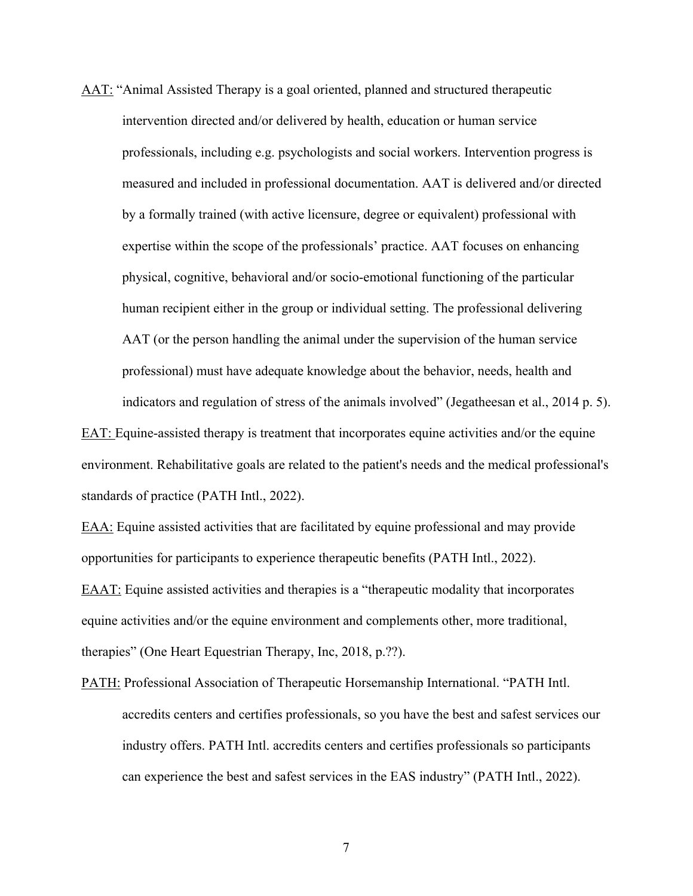AAT: "Animal Assisted Therapy is a goal oriented, planned and structured therapeutic intervention directed and/or delivered by health, education or human service professionals, including e.g. psychologists and social workers. Intervention progress is measured and included in professional documentation. AAT is delivered and/or directed by a formally trained (with active licensure, degree or equivalent) professional with expertise within the scope of the professionals' practice. AAT focuses on enhancing physical, cognitive, behavioral and/or socio-emotional functioning of the particular human recipient either in the group or individual setting. The professional delivering AAT (or the person handling the animal under the supervision of the human service professional) must have adequate knowledge about the behavior, needs, health and indicators and regulation of stress of the animals involved" (Jegatheesan et al., 2014 p. 5).

EAT: Equine-assisted therapy is treatment that incorporates equine activities and/or the equine environment. Rehabilitative goals are related to the patient's needs and the medical professional's standards of practice (PATH Intl., 2022).

EAA: Equine assisted activities that are facilitated by equine professional and may provide opportunities for participants to experience therapeutic benefits (PATH Intl., 2022). EAAT: Equine assisted activities and therapies is a "therapeutic modality that incorporates equine activities and/or the equine environment and complements other, more traditional, therapies" (One Heart Equestrian Therapy, Inc, 2018, p.??).

PATH: Professional Association of Therapeutic Horsemanship International. "PATH Intl. accredits centers and certifies professionals, so you have the best and safest services our industry offers. PATH Intl. accredits centers and certifies professionals so participants can experience the best and safest services in the EAS industry" (PATH Intl., 2022).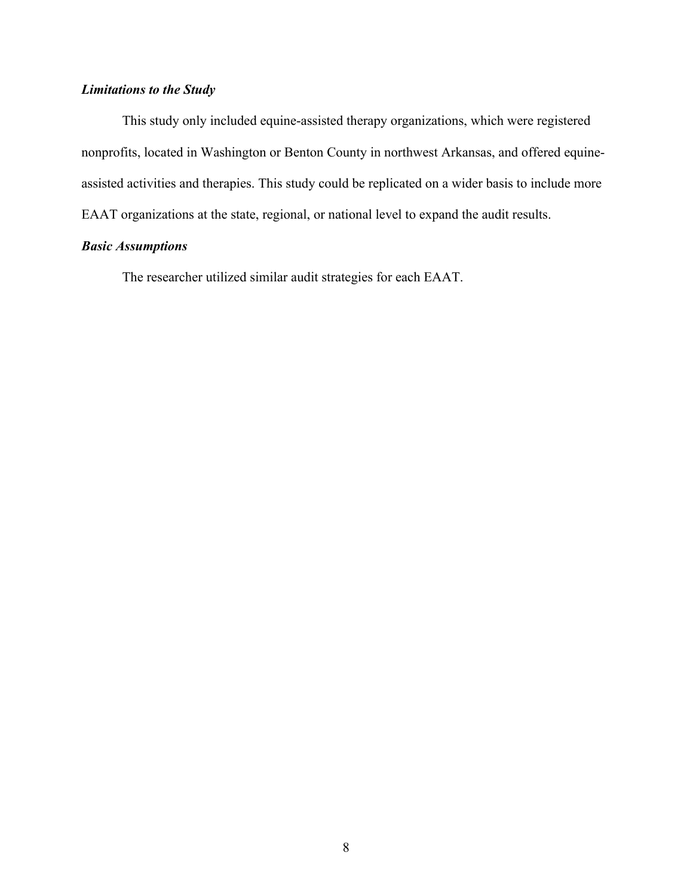### *Limitations to the Study*

This study only included equine-assisted therapy organizations, which were registered nonprofits, located in Washington or Benton County in northwest Arkansas, and offered equineassisted activities and therapies. This study could be replicated on a wider basis to include more EAAT organizations at the state, regional, or national level to expand the audit results.

### *Basic Assumptions*

The researcher utilized similar audit strategies for each EAAT.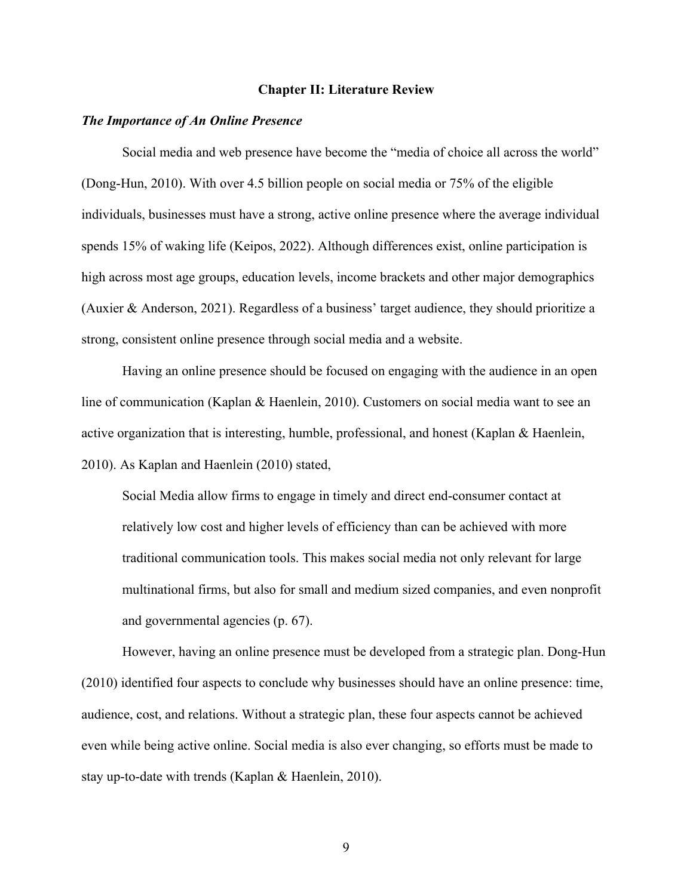#### **Chapter II: Literature Review**

#### *The Importance of An Online Presence*

Social media and web presence have become the "media of choice all across the world" (Dong-Hun, 2010). With over 4.5 billion people on social media or 75% of the eligible individuals, businesses must have a strong, active online presence where the average individual spends 15% of waking life (Keipos, 2022). Although differences exist, online participation is high across most age groups, education levels, income brackets and other major demographics (Auxier & Anderson, 2021). Regardless of a business' target audience, they should prioritize a strong, consistent online presence through social media and a website.

Having an online presence should be focused on engaging with the audience in an open line of communication (Kaplan & Haenlein, 2010). Customers on social media want to see an active organization that is interesting, humble, professional, and honest (Kaplan & Haenlein, 2010). As Kaplan and Haenlein (2010) stated,

Social Media allow firms to engage in timely and direct end-consumer contact at relatively low cost and higher levels of efficiency than can be achieved with more traditional communication tools. This makes social media not only relevant for large multinational firms, but also for small and medium sized companies, and even nonprofit and governmental agencies (p. 67).

However, having an online presence must be developed from a strategic plan. Dong-Hun (2010) identified four aspects to conclude why businesses should have an online presence: time, audience, cost, and relations. Without a strategic plan, these four aspects cannot be achieved even while being active online. Social media is also ever changing, so efforts must be made to stay up-to-date with trends (Kaplan & Haenlein, 2010).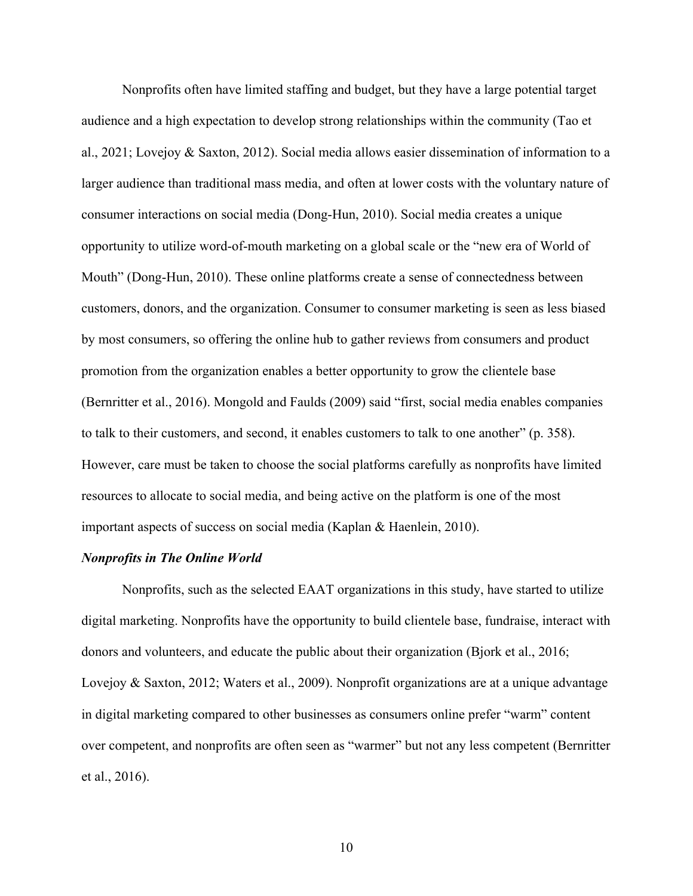Nonprofits often have limited staffing and budget, but they have a large potential target audience and a high expectation to develop strong relationships within the community (Tao et al., 2021; Lovejoy & Saxton, 2012). Social media allows easier dissemination of information to a larger audience than traditional mass media, and often at lower costs with the voluntary nature of consumer interactions on social media (Dong-Hun, 2010). Social media creates a unique opportunity to utilize word-of-mouth marketing on a global scale or the "new era of World of Mouth" (Dong-Hun, 2010). These online platforms create a sense of connectedness between customers, donors, and the organization. Consumer to consumer marketing is seen as less biased by most consumers, so offering the online hub to gather reviews from consumers and product promotion from the organization enables a better opportunity to grow the clientele base (Bernritter et al., 2016). Mongold and Faulds (2009) said "first, social media enables companies to talk to their customers, and second, it enables customers to talk to one another" (p. 358). However, care must be taken to choose the social platforms carefully as nonprofits have limited resources to allocate to social media, and being active on the platform is one of the most important aspects of success on social media (Kaplan & Haenlein, 2010).

#### *Nonprofits in The Online World*

Nonprofits, such as the selected EAAT organizations in this study, have started to utilize digital marketing. Nonprofits have the opportunity to build clientele base, fundraise, interact with donors and volunteers, and educate the public about their organization (Bjork et al., 2016; Lovejoy & Saxton, 2012; Waters et al., 2009). Nonprofit organizations are at a unique advantage in digital marketing compared to other businesses as consumers online prefer "warm" content over competent, and nonprofits are often seen as "warmer" but not any less competent (Bernritter et al., 2016).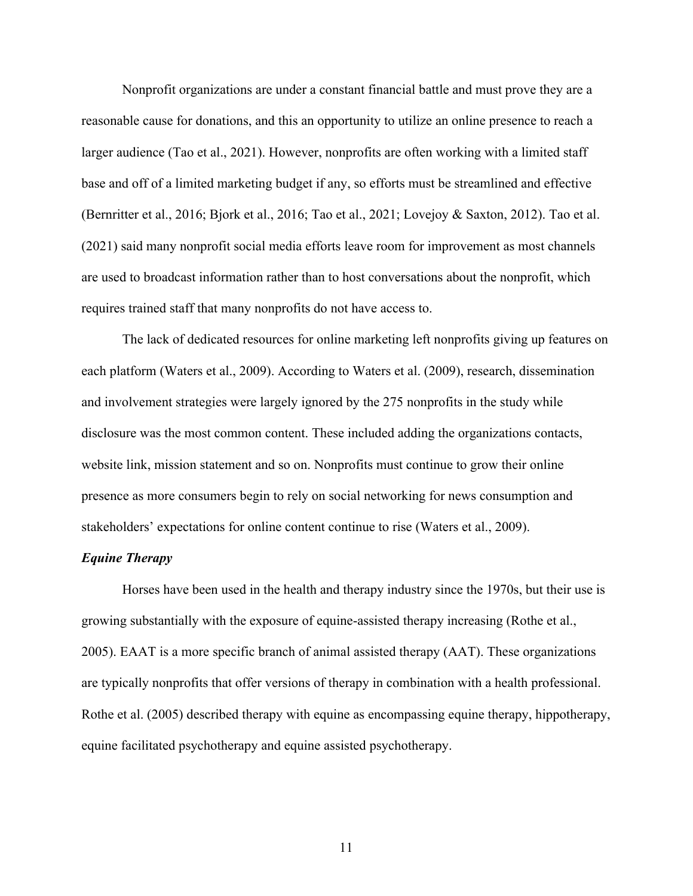Nonprofit organizations are under a constant financial battle and must prove they are a reasonable cause for donations, and this an opportunity to utilize an online presence to reach a larger audience (Tao et al., 2021). However, nonprofits are often working with a limited staff base and off of a limited marketing budget if any, so efforts must be streamlined and effective (Bernritter et al., 2016; Bjork et al., 2016; Tao et al., 2021; Lovejoy & Saxton, 2012). Tao et al. (2021) said many nonprofit social media efforts leave room for improvement as most channels are used to broadcast information rather than to host conversations about the nonprofit, which requires trained staff that many nonprofits do not have access to.

The lack of dedicated resources for online marketing left nonprofits giving up features on each platform (Waters et al., 2009). According to Waters et al. (2009), research, dissemination and involvement strategies were largely ignored by the 275 nonprofits in the study while disclosure was the most common content. These included adding the organizations contacts, website link, mission statement and so on. Nonprofits must continue to grow their online presence as more consumers begin to rely on social networking for news consumption and stakeholders' expectations for online content continue to rise (Waters et al., 2009).

#### *Equine Therapy*

Horses have been used in the health and therapy industry since the 1970s, but their use is growing substantially with the exposure of equine-assisted therapy increasing (Rothe et al., 2005). EAAT is a more specific branch of animal assisted therapy (AAT). These organizations are typically nonprofits that offer versions of therapy in combination with a health professional. Rothe et al. (2005) described therapy with equine as encompassing equine therapy, hippotherapy, equine facilitated psychotherapy and equine assisted psychotherapy.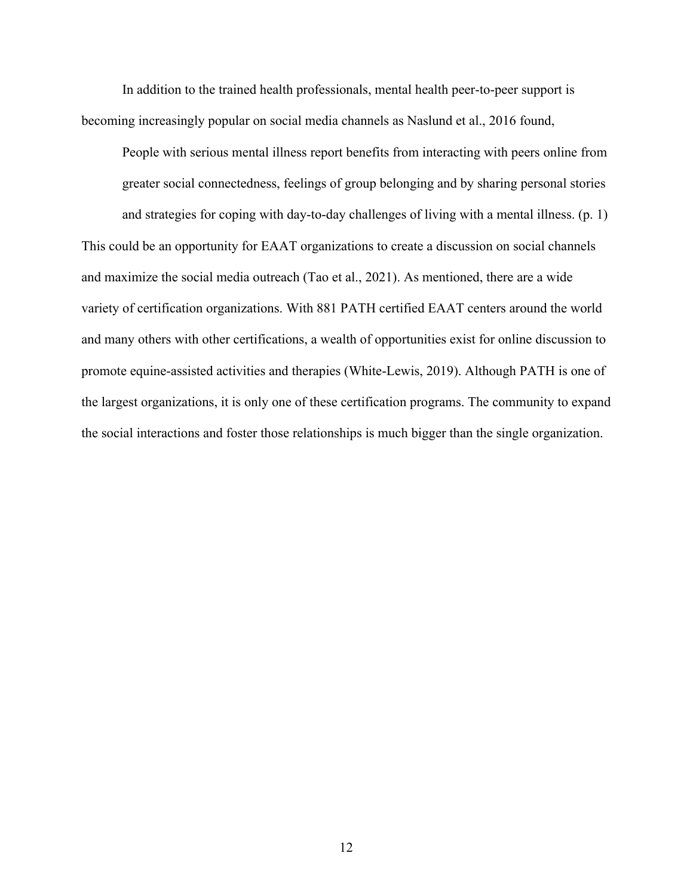In addition to the trained health professionals, mental health peer-to-peer support is becoming increasingly popular on social media channels as Naslund et al., 2016 found,

People with serious mental illness report benefits from interacting with peers online from greater social connectedness, feelings of group belonging and by sharing personal stories and strategies for coping with day-to-day challenges of living with a mental illness. (p. 1) This could be an opportunity for EAAT organizations to create a discussion on social channels and maximize the social media outreach (Tao et al., 2021). As mentioned, there are a wide variety of certification organizations. With 881 PATH certified EAAT centers around the world and many others with other certifications, a wealth of opportunities exist for online discussion to promote equine-assisted activities and therapies (White‐Lewis, 2019). Although PATH is one of the largest organizations, it is only one of these certification programs. The community to expand the social interactions and foster those relationships is much bigger than the single organization.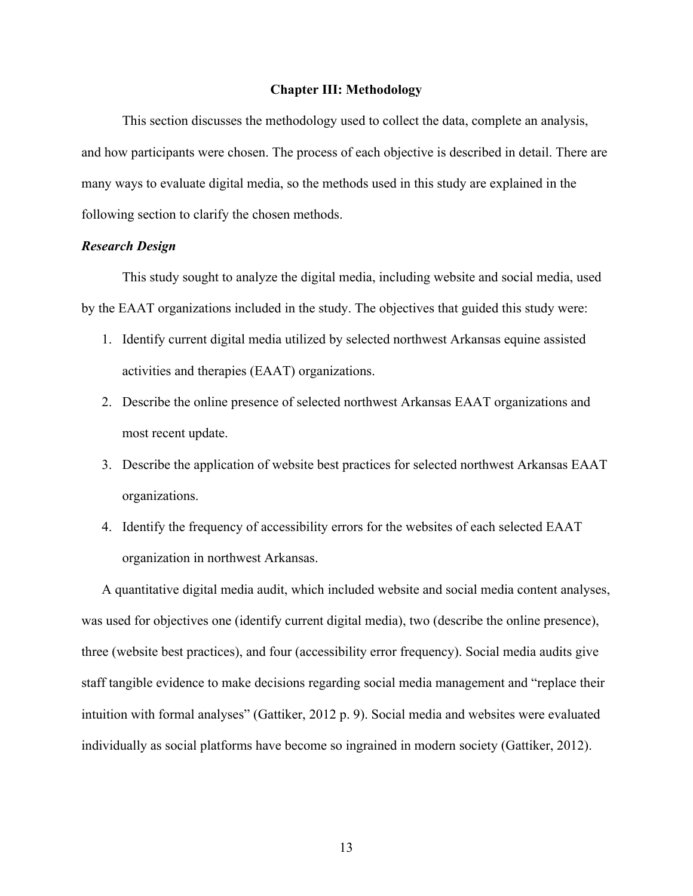#### **Chapter III: Methodology**

This section discusses the methodology used to collect the data, complete an analysis, and how participants were chosen. The process of each objective is described in detail. There are many ways to evaluate digital media, so the methods used in this study are explained in the following section to clarify the chosen methods.

#### *Research Design*

This study sought to analyze the digital media, including website and social media, used by the EAAT organizations included in the study. The objectives that guided this study were:

- 1. Identify current digital media utilized by selected northwest Arkansas equine assisted activities and therapies (EAAT) organizations.
- 2. Describe the online presence of selected northwest Arkansas EAAT organizations and most recent update.
- 3. Describe the application of website best practices for selected northwest Arkansas EAAT organizations.
- 4. Identify the frequency of accessibility errors for the websites of each selected EAAT organization in northwest Arkansas.

A quantitative digital media audit, which included website and social media content analyses, was used for objectives one (identify current digital media), two (describe the online presence), three (website best practices), and four (accessibility error frequency). Social media audits give staff tangible evidence to make decisions regarding social media management and "replace their intuition with formal analyses" (Gattiker, 2012 p. 9). Social media and websites were evaluated individually as social platforms have become so ingrained in modern society (Gattiker, 2012).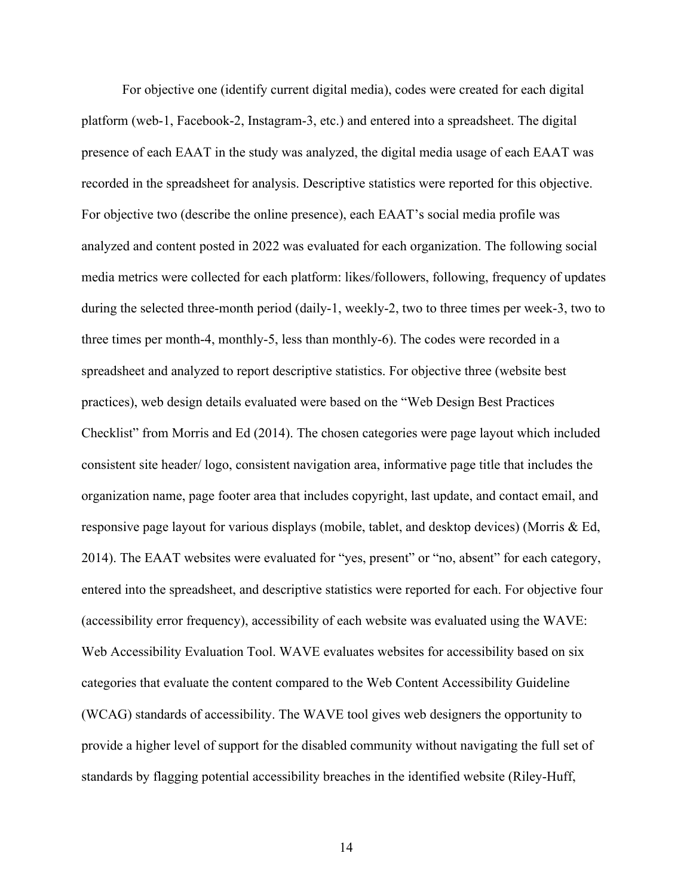For objective one (identify current digital media), codes were created for each digital platform (web-1, Facebook-2, Instagram-3, etc.) and entered into a spreadsheet. The digital presence of each EAAT in the study was analyzed, the digital media usage of each EAAT was recorded in the spreadsheet for analysis. Descriptive statistics were reported for this objective. For objective two (describe the online presence), each EAAT's social media profile was analyzed and content posted in 2022 was evaluated for each organization. The following social media metrics were collected for each platform: likes/followers, following, frequency of updates during the selected three-month period (daily-1, weekly-2, two to three times per week-3, two to three times per month-4, monthly-5, less than monthly-6). The codes were recorded in a spreadsheet and analyzed to report descriptive statistics. For objective three (website best practices), web design details evaluated were based on the "Web Design Best Practices Checklist" from Morris and Ed (2014). The chosen categories were page layout which included consistent site header/ logo, consistent navigation area, informative page title that includes the organization name, page footer area that includes copyright, last update, and contact email, and responsive page layout for various displays (mobile, tablet, and desktop devices) (Morris & Ed, 2014). The EAAT websites were evaluated for "yes, present" or "no, absent" for each category, entered into the spreadsheet, and descriptive statistics were reported for each. For objective four (accessibility error frequency), accessibility of each website was evaluated using the WAVE: Web Accessibility Evaluation Tool. WAVE evaluates websites for accessibility based on six categories that evaluate the content compared to the Web Content Accessibility Guideline (WCAG) standards of accessibility. The WAVE tool gives web designers the opportunity to provide a higher level of support for the disabled community without navigating the full set of standards by flagging potential accessibility breaches in the identified website (Riley-Huff,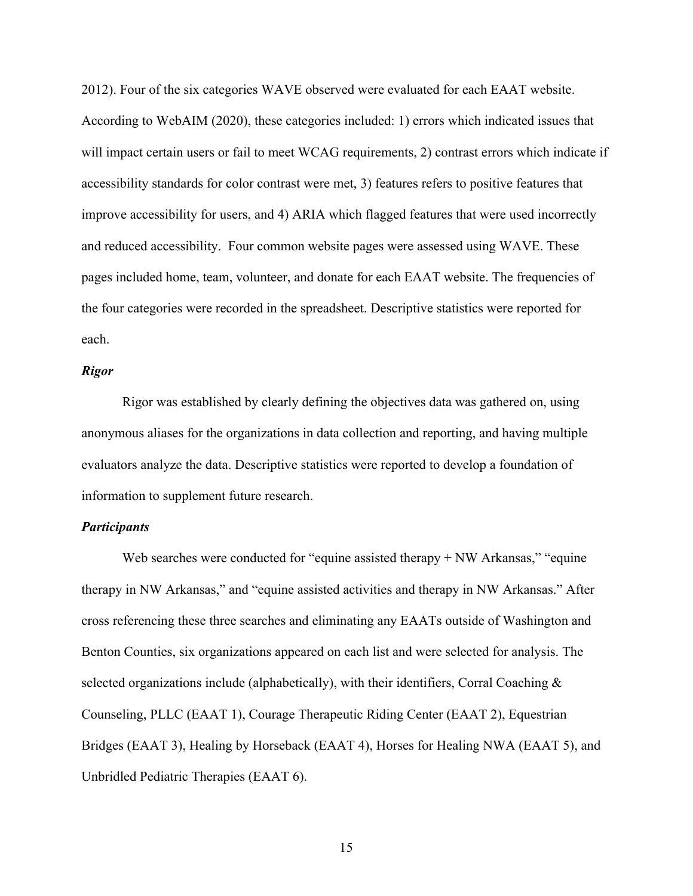2012). Four of the six categories WAVE observed were evaluated for each EAAT website. According to WebAIM (2020), these categories included: 1) errors which indicated issues that will impact certain users or fail to meet WCAG requirements, 2) contrast errors which indicate if accessibility standards for color contrast were met, 3) features refers to positive features that improve accessibility for users, and 4) ARIA which flagged features that were used incorrectly and reduced accessibility. Four common website pages were assessed using WAVE. These pages included home, team, volunteer, and donate for each EAAT website. The frequencies of the four categories were recorded in the spreadsheet. Descriptive statistics were reported for each.

#### *Rigor*

Rigor was established by clearly defining the objectives data was gathered on, using anonymous aliases for the organizations in data collection and reporting, and having multiple evaluators analyze the data. Descriptive statistics were reported to develop a foundation of information to supplement future research.

#### *Participants*

Web searches were conducted for "equine assisted therapy + NW Arkansas," "equine therapy in NW Arkansas," and "equine assisted activities and therapy in NW Arkansas." After cross referencing these three searches and eliminating any EAATs outside of Washington and Benton Counties, six organizations appeared on each list and were selected for analysis. The selected organizations include (alphabetically), with their identifiers, Corral Coaching  $\&$ Counseling, PLLC (EAAT 1), Courage Therapeutic Riding Center (EAAT 2), Equestrian Bridges (EAAT 3), Healing by Horseback (EAAT 4), Horses for Healing NWA (EAAT 5), and Unbridled Pediatric Therapies (EAAT 6).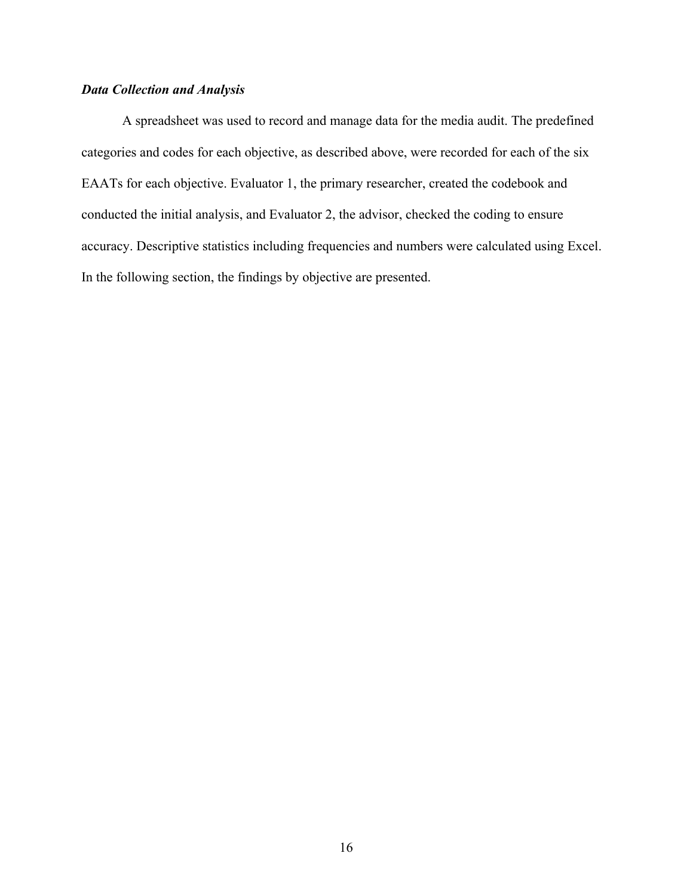### *Data Collection and Analysis*

A spreadsheet was used to record and manage data for the media audit. The predefined categories and codes for each objective, as described above, were recorded for each of the six EAATs for each objective. Evaluator 1, the primary researcher, created the codebook and conducted the initial analysis, and Evaluator 2, the advisor, checked the coding to ensure accuracy. Descriptive statistics including frequencies and numbers were calculated using Excel. In the following section, the findings by objective are presented.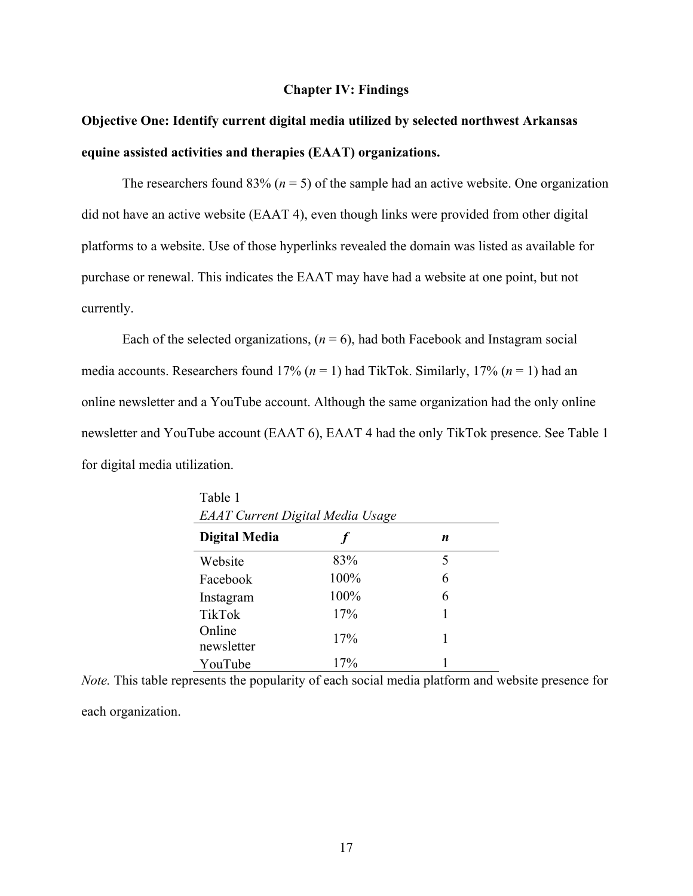#### **Chapter IV: Findings**

# **Objective One: Identify current digital media utilized by selected northwest Arkansas equine assisted activities and therapies (EAAT) organizations.**

The researchers found  $83\%$  ( $n = 5$ ) of the sample had an active website. One organization did not have an active website (EAAT 4), even though links were provided from other digital platforms to a website. Use of those hyperlinks revealed the domain was listed as available for purchase or renewal. This indicates the EAAT may have had a website at one point, but not currently.

Each of the selected organizations,  $(n = 6)$ , had both Facebook and Instagram social media accounts. Researchers found 17% (*n* = 1) had TikTok. Similarly, 17% (*n* = 1) had an online newsletter and a YouTube account. Although the same organization had the only online newsletter and YouTube account (EAAT 6), EAAT 4 had the only TikTok presence. See Table 1 for digital media utilization.

| Table 1                                 |      |   |  |  |  |  |
|-----------------------------------------|------|---|--|--|--|--|
| <b>EAAT Current Digital Media Usage</b> |      |   |  |  |  |  |
| Digital Media                           |      | n |  |  |  |  |
| Website                                 | 83%  | 5 |  |  |  |  |
| Facebook                                | 100% | 6 |  |  |  |  |
| Instagram                               | 100% | 6 |  |  |  |  |
| <b>TikTok</b>                           | 17%  | 1 |  |  |  |  |
| Online<br>newsletter                    | 17%  | 1 |  |  |  |  |
| YouTube                                 | 17%  |   |  |  |  |  |

*Note.* This table represents the popularity of each social media platform and website presence for each organization.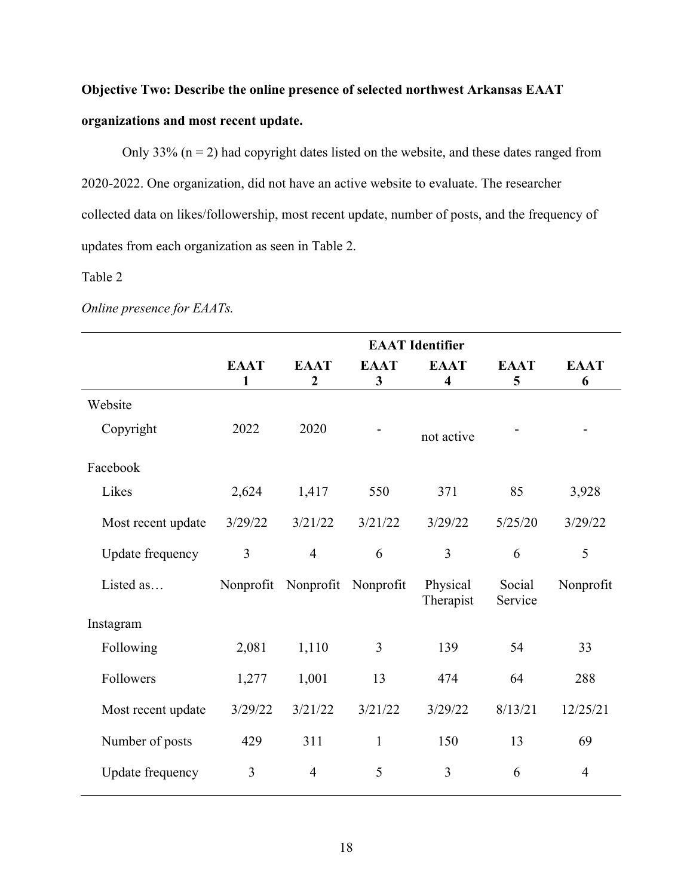# **Objective Two: Describe the online presence of selected northwest Arkansas EAAT organizations and most recent update.**

Only 33%  $(n = 2)$  had copyright dates listed on the website, and these dates ranged from 2020-2022. One organization, did not have an active website to evaluate. The researcher collected data on likes/followership, most recent update, number of posts, and the frequency of updates from each organization as seen in Table 2.

### Table 2

|                    | <b>EAAT</b> Identifier |                  |              |                         |                   |                |
|--------------------|------------------------|------------------|--------------|-------------------------|-------------------|----------------|
|                    | <b>EAAT</b>            | <b>EAAT</b>      | <b>EAAT</b>  | <b>EAAT</b>             | <b>EAAT</b>       | <b>EAAT</b>    |
|                    | $\mathbf{1}$           | $\boldsymbol{2}$ | 3            | $\overline{\mathbf{4}}$ | 5                 | 6              |
| Website            |                        |                  |              |                         |                   |                |
| Copyright          | 2022                   | 2020             |              | not active              |                   |                |
| Facebook           |                        |                  |              |                         |                   |                |
| Likes              | 2,624                  | 1,417            | 550          | 371                     | 85                | 3,928          |
| Most recent update | 3/29/22                | 3/21/22          | 3/21/22      | 3/29/22                 | 5/25/20           | 3/29/22        |
| Update frequency   | $\overline{3}$         | $\overline{4}$   | 6            | 3                       | 6                 | 5              |
| Listed as          | Nonprofit              | Nonprofit        | Nonprofit    | Physical<br>Therapist   | Social<br>Service | Nonprofit      |
| Instagram          |                        |                  |              |                         |                   |                |
| Following          | 2,081                  | 1,110            | 3            | 139                     | 54                | 33             |
| Followers          | 1,277                  | 1,001            | 13           | 474                     | 64                | 288            |
| Most recent update | 3/29/22                | 3/21/22          | 3/21/22      | 3/29/22                 | 8/13/21           | 12/25/21       |
| Number of posts    | 429                    | 311              | $\mathbf{1}$ | 150                     | 13                | 69             |
| Update frequency   | $\overline{3}$         | $\overline{4}$   | 5            | $\overline{3}$          | 6                 | $\overline{4}$ |

*Online presence for EAATs.*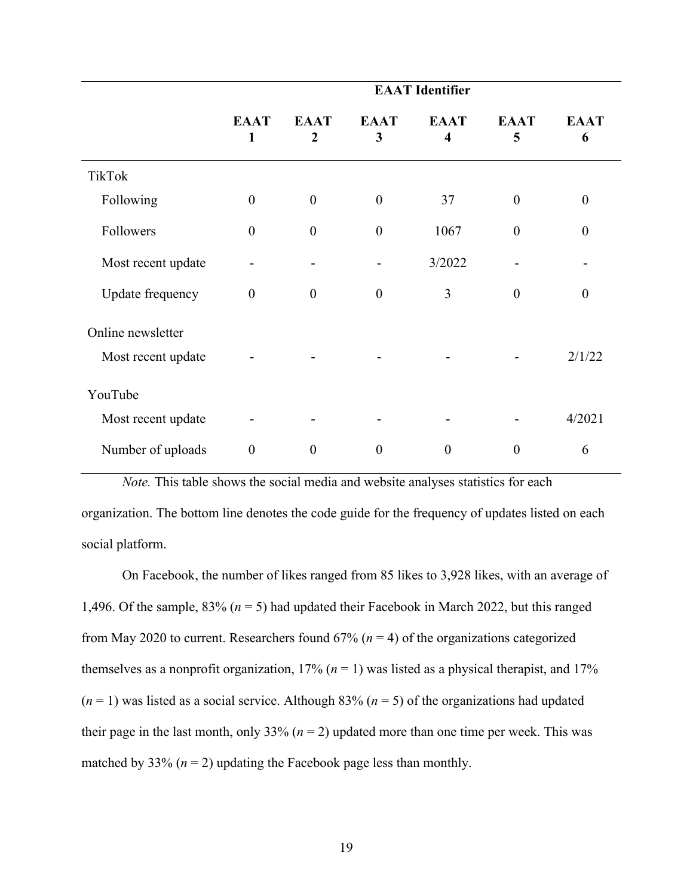|                    | <b>EAAT</b> Identifier |                                 |                  |                                        |                  |                  |
|--------------------|------------------------|---------------------------------|------------------|----------------------------------------|------------------|------------------|
|                    | <b>EAAT</b><br>1       | <b>EAAT</b><br>$\boldsymbol{2}$ | <b>EAAT</b><br>3 | <b>EAAT</b><br>$\overline{\mathbf{4}}$ | <b>EAAT</b><br>5 | <b>EAAT</b><br>6 |
| <b>TikTok</b>      |                        |                                 |                  |                                        |                  |                  |
| Following          | $\overline{0}$         | $\boldsymbol{0}$                | $\theta$         | 37                                     | $\boldsymbol{0}$ | $\theta$         |
| Followers          | $\overline{0}$         | $\boldsymbol{0}$                | $\theta$         | 1067                                   | $\boldsymbol{0}$ | $\theta$         |
| Most recent update |                        |                                 |                  | 3/2022                                 |                  |                  |
| Update frequency   | $\boldsymbol{0}$       | $\boldsymbol{0}$                | $\boldsymbol{0}$ | $\overline{3}$                         | $\boldsymbol{0}$ | $\boldsymbol{0}$ |
| Online newsletter  |                        |                                 |                  |                                        |                  |                  |
| Most recent update |                        |                                 |                  |                                        |                  | 2/1/22           |
| YouTube            |                        |                                 |                  |                                        |                  |                  |
| Most recent update |                        |                                 |                  |                                        |                  | 4/2021           |
| Number of uploads  | $\theta$               | $\boldsymbol{0}$                | $\boldsymbol{0}$ | $\theta$                               | $\boldsymbol{0}$ | 6                |

*Note.* This table shows the social media and website analyses statistics for each organization. The bottom line denotes the code guide for the frequency of updates listed on each social platform.

On Facebook, the number of likes ranged from 85 likes to 3,928 likes, with an average of 1,496. Of the sample, 83% (*n* = 5) had updated their Facebook in March 2022, but this ranged from May 2020 to current. Researchers found 67% (*n* = 4) of the organizations categorized themselves as a nonprofit organization,  $17\%$  ( $n = 1$ ) was listed as a physical therapist, and  $17\%$  $(n = 1)$  was listed as a social service. Although 83%  $(n = 5)$  of the organizations had updated their page in the last month, only  $33\%$  ( $n = 2$ ) updated more than one time per week. This was matched by 33%  $(n = 2)$  updating the Facebook page less than monthly.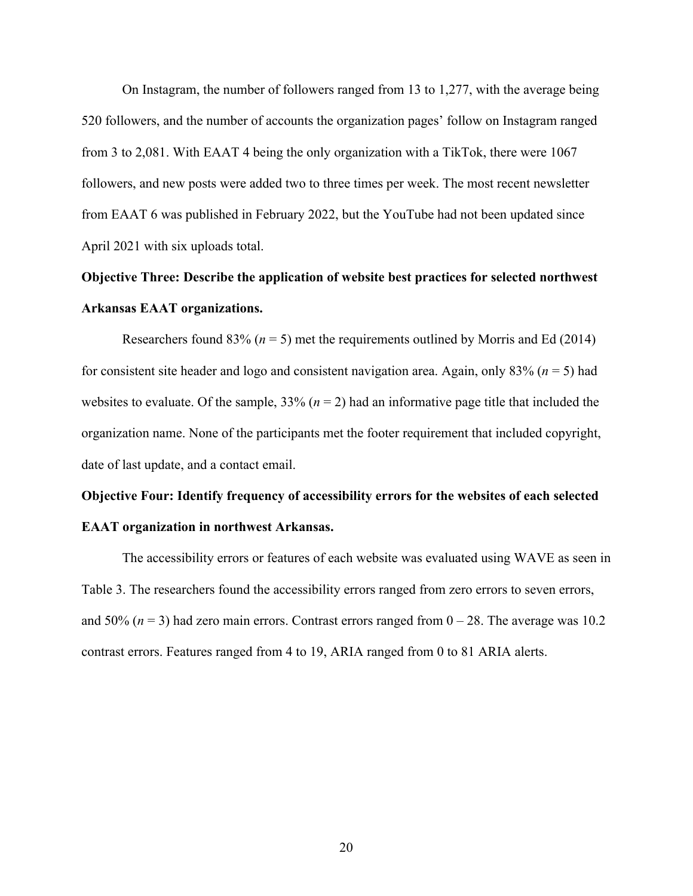On Instagram, the number of followers ranged from 13 to 1,277, with the average being 520 followers, and the number of accounts the organization pages' follow on Instagram ranged from 3 to 2,081. With EAAT 4 being the only organization with a TikTok, there were 1067 followers, and new posts were added two to three times per week. The most recent newsletter from EAAT 6 was published in February 2022, but the YouTube had not been updated since April 2021 with six uploads total.

## **Objective Three: Describe the application of website best practices for selected northwest Arkansas EAAT organizations.**

Researchers found  $83\%$  ( $n = 5$ ) met the requirements outlined by Morris and Ed (2014) for consistent site header and logo and consistent navigation area. Again, only 83% (*n* = 5) had websites to evaluate. Of the sample, 33% (*n* = 2) had an informative page title that included the organization name. None of the participants met the footer requirement that included copyright, date of last update, and a contact email.

# **Objective Four: Identify frequency of accessibility errors for the websites of each selected EAAT organization in northwest Arkansas.**

The accessibility errors or features of each website was evaluated using WAVE as seen in Table 3. The researchers found the accessibility errors ranged from zero errors to seven errors, and 50% ( $n = 3$ ) had zero main errors. Contrast errors ranged from  $0 - 28$ . The average was 10.2 contrast errors. Features ranged from 4 to 19, ARIA ranged from 0 to 81 ARIA alerts.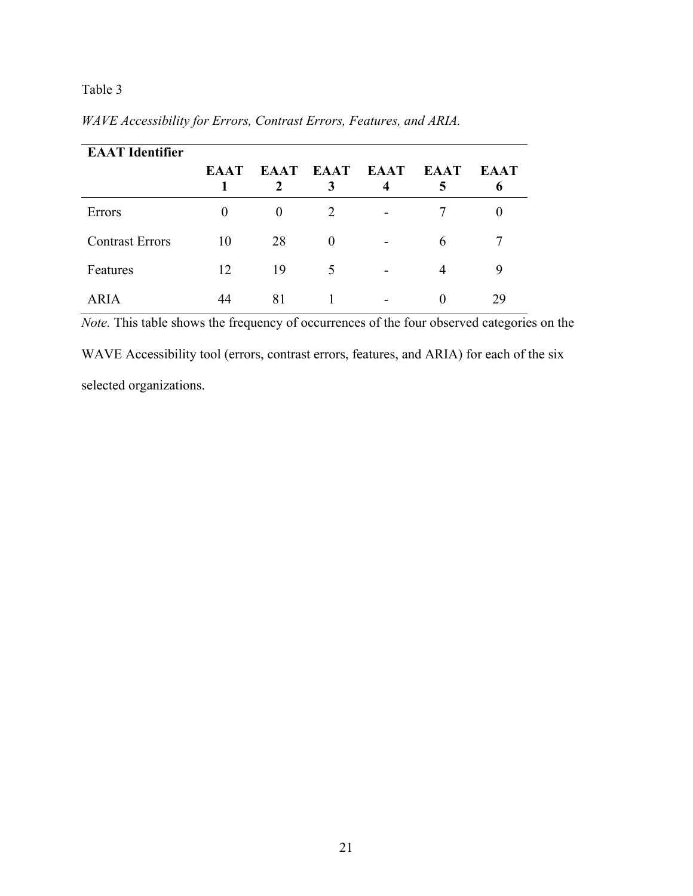## Table 3

| <b>EAAT</b> Identifier |             |          |                     |                  |                  |                  |
|------------------------|-------------|----------|---------------------|------------------|------------------|------------------|
|                        | <b>EAAT</b> |          | EAAT EAAT EAAT<br>3 | $\boldsymbol{4}$ | <b>EAAT</b><br>5 | <b>EAAT</b><br>b |
| Errors                 | $\theta$    | $\theta$ | 2                   | -                |                  |                  |
| <b>Contrast Errors</b> | 10          | 28       | $\Omega$            | -                | 6                |                  |
| Features               | 12          | 19       | 5                   |                  | 4                | 9                |
| <b>ARIA</b>            | 44          | 81       |                     |                  |                  | 29               |

*WAVE Accessibility for Errors, Contrast Errors, Features, and ARIA.*

*Note.* This table shows the frequency of occurrences of the four observed categories on the

WAVE Accessibility tool (errors, contrast errors, features, and ARIA) for each of the six selected organizations.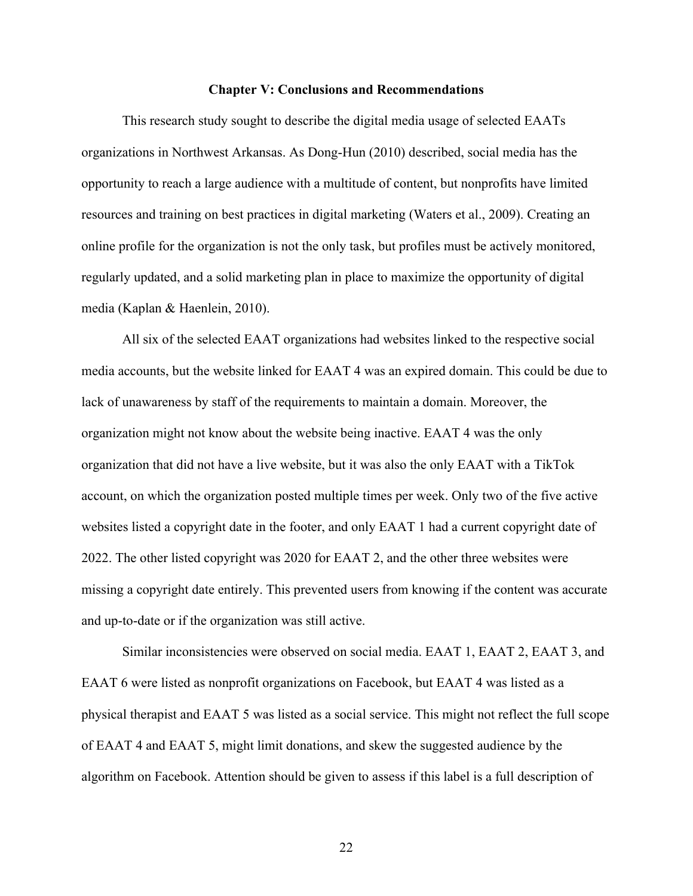#### **Chapter V: Conclusions and Recommendations**

This research study sought to describe the digital media usage of selected EAATs organizations in Northwest Arkansas. As Dong-Hun (2010) described, social media has the opportunity to reach a large audience with a multitude of content, but nonprofits have limited resources and training on best practices in digital marketing (Waters et al., 2009). Creating an online profile for the organization is not the only task, but profiles must be actively monitored, regularly updated, and a solid marketing plan in place to maximize the opportunity of digital media (Kaplan & Haenlein, 2010).

All six of the selected EAAT organizations had websites linked to the respective social media accounts, but the website linked for EAAT 4 was an expired domain. This could be due to lack of unawareness by staff of the requirements to maintain a domain. Moreover, the organization might not know about the website being inactive. EAAT 4 was the only organization that did not have a live website, but it was also the only EAAT with a TikTok account, on which the organization posted multiple times per week. Only two of the five active websites listed a copyright date in the footer, and only EAAT 1 had a current copyright date of 2022. The other listed copyright was 2020 for EAAT 2, and the other three websites were missing a copyright date entirely. This prevented users from knowing if the content was accurate and up-to-date or if the organization was still active.

Similar inconsistencies were observed on social media. EAAT 1, EAAT 2, EAAT 3, and EAAT 6 were listed as nonprofit organizations on Facebook, but EAAT 4 was listed as a physical therapist and EAAT 5 was listed as a social service. This might not reflect the full scope of EAAT 4 and EAAT 5, might limit donations, and skew the suggested audience by the algorithm on Facebook. Attention should be given to assess if this label is a full description of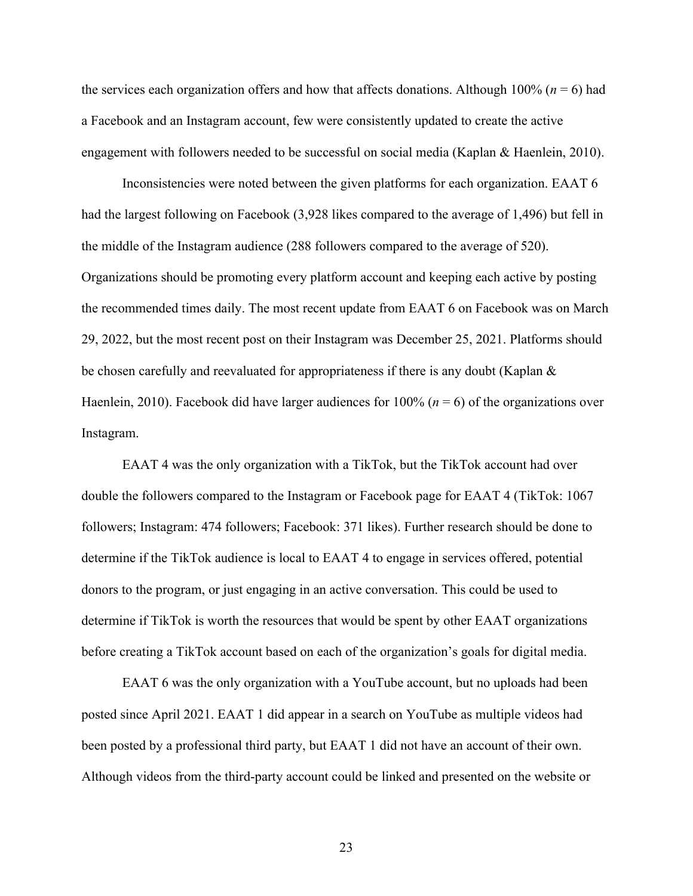the services each organization offers and how that affects donations. Although 100% ( $n = 6$ ) had a Facebook and an Instagram account, few were consistently updated to create the active engagement with followers needed to be successful on social media (Kaplan & Haenlein, 2010).

Inconsistencies were noted between the given platforms for each organization. EAAT 6 had the largest following on Facebook (3,928 likes compared to the average of 1,496) but fell in the middle of the Instagram audience (288 followers compared to the average of 520). Organizations should be promoting every platform account and keeping each active by posting the recommended times daily. The most recent update from EAAT 6 on Facebook was on March 29, 2022, but the most recent post on their Instagram was December 25, 2021. Platforms should be chosen carefully and reevaluated for appropriateness if there is any doubt (Kaplan & Haenlein, 2010). Facebook did have larger audiences for  $100\%$  ( $n = 6$ ) of the organizations over Instagram.

EAAT 4 was the only organization with a TikTok, but the TikTok account had over double the followers compared to the Instagram or Facebook page for EAAT 4 (TikTok: 1067 followers; Instagram: 474 followers; Facebook: 371 likes). Further research should be done to determine if the TikTok audience is local to EAAT 4 to engage in services offered, potential donors to the program, or just engaging in an active conversation. This could be used to determine if TikTok is worth the resources that would be spent by other EAAT organizations before creating a TikTok account based on each of the organization's goals for digital media.

EAAT 6 was the only organization with a YouTube account, but no uploads had been posted since April 2021. EAAT 1 did appear in a search on YouTube as multiple videos had been posted by a professional third party, but EAAT 1 did not have an account of their own. Although videos from the third-party account could be linked and presented on the website or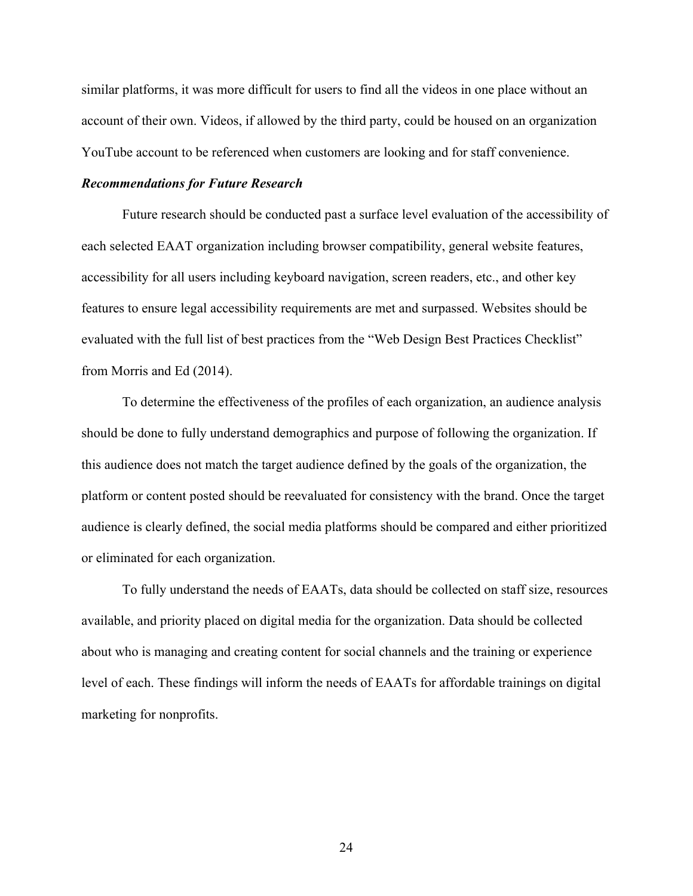similar platforms, it was more difficult for users to find all the videos in one place without an account of their own. Videos, if allowed by the third party, could be housed on an organization YouTube account to be referenced when customers are looking and for staff convenience.

#### *Recommendations for Future Research*

Future research should be conducted past a surface level evaluation of the accessibility of each selected EAAT organization including browser compatibility, general website features, accessibility for all users including keyboard navigation, screen readers, etc., and other key features to ensure legal accessibility requirements are met and surpassed. Websites should be evaluated with the full list of best practices from the "Web Design Best Practices Checklist" from Morris and Ed (2014).

To determine the effectiveness of the profiles of each organization, an audience analysis should be done to fully understand demographics and purpose of following the organization. If this audience does not match the target audience defined by the goals of the organization, the platform or content posted should be reevaluated for consistency with the brand. Once the target audience is clearly defined, the social media platforms should be compared and either prioritized or eliminated for each organization.

To fully understand the needs of EAATs, data should be collected on staff size, resources available, and priority placed on digital media for the organization. Data should be collected about who is managing and creating content for social channels and the training or experience level of each. These findings will inform the needs of EAATs for affordable trainings on digital marketing for nonprofits.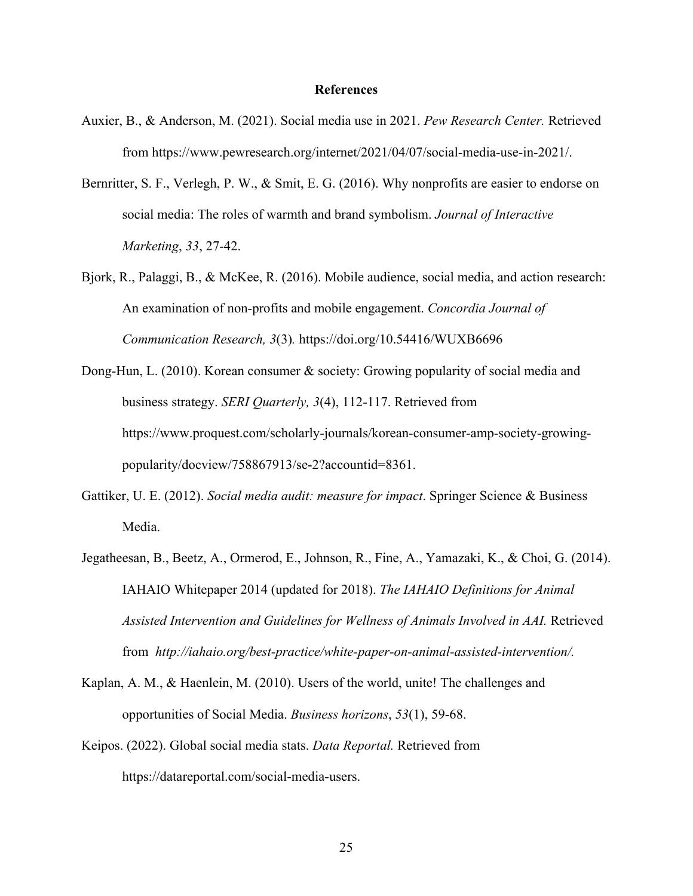#### **References**

- Auxier, B., & Anderson, M. (2021). Social media use in 2021. *Pew Research Center.* Retrieved from https://www.pewresearch.org/internet/2021/04/07/social-media-use-in-2021/.
- Bernritter, S. F., Verlegh, P. W., & Smit, E. G. (2016). Why nonprofits are easier to endorse on social media: The roles of warmth and brand symbolism. *Journal of Interactive Marketing*, *33*, 27-42.
- Bjork, R., Palaggi, B., & McKee, R. (2016). Mobile audience, social media, and action research: An examination of non-profits and mobile engagement. *Concordia Journal of Communication Research, 3*(3)*.* https://doi.org/10.54416/WUXB6696
- Dong-Hun, L. (2010). Korean consumer & society: Growing popularity of social media and business strategy. *SERI Quarterly, 3*(4), 112-117. Retrieved from https://www.proquest.com/scholarly-journals/korean-consumer-amp-society-growingpopularity/docview/758867913/se-2?accountid=8361.
- Gattiker, U. E. (2012). *Social media audit: measure for impact*. Springer Science & Business Media.
- Jegatheesan, B., Beetz, A., Ormerod, E., Johnson, R., Fine, A., Yamazaki, K., & Choi, G. (2014). IAHAIO Whitepaper 2014 (updated for 2018). *The IAHAIO Definitions for Animal Assisted Intervention and Guidelines for Wellness of Animals Involved in AAI.* Retrieved from *http://iahaio.org/best-practice/white-paper-on-animal-assisted-intervention/.*
- Kaplan, A. M., & Haenlein, M. (2010). Users of the world, unite! The challenges and opportunities of Social Media. *Business horizons*, *53*(1), 59-68.
- Keipos. (2022). Global social media stats. *Data Reportal.* Retrieved from https://datareportal.com/social-media-users.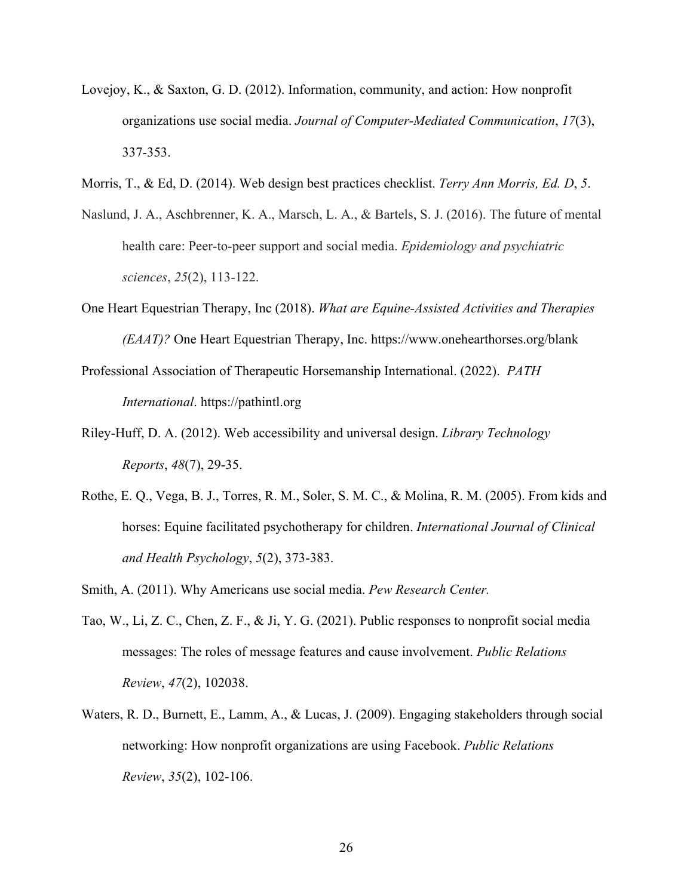- Lovejoy, K., & Saxton, G. D. (2012). Information, community, and action: How nonprofit organizations use social media. *Journal of Computer-Mediated Communication*, *17*(3), 337-353.
- Morris, T., & Ed, D. (2014). Web design best practices checklist. *Terry Ann Morris, Ed. D*, *5*.
- Naslund, J. A., Aschbrenner, K. A., Marsch, L. A., & Bartels, S. J. (2016). The future of mental health care: Peer-to-peer support and social media. *Epidemiology and psychiatric sciences*, *25*(2), 113-122.
- One Heart Equestrian Therapy, Inc (2018). *What are Equine-Assisted Activities and Therapies (EAAT)?* One Heart Equestrian Therapy, Inc. https://www.onehearthorses.org/blank
- Professional Association of Therapeutic Horsemanship International. (2022). *PATH International*. https://pathintl.org
- Riley-Huff, D. A. (2012). Web accessibility and universal design. *Library Technology Reports*, *48*(7), 29-35.
- Rothe, E. Q., Vega, B. J., Torres, R. M., Soler, S. M. C., & Molina, R. M. (2005). From kids and horses: Equine facilitated psychotherapy for children. *International Journal of Clinical and Health Psychology*, *5*(2), 373-383.
- Smith, A. (2011). Why Americans use social media. *Pew Research Center.*
- Tao, W., Li, Z. C., Chen, Z. F., & Ji, Y. G. (2021). Public responses to nonprofit social media messages: The roles of message features and cause involvement. *Public Relations Review*, *47*(2), 102038.
- Waters, R. D., Burnett, E., Lamm, A., & Lucas, J. (2009). Engaging stakeholders through social networking: How nonprofit organizations are using Facebook. *Public Relations Review*, *35*(2), 102-106.